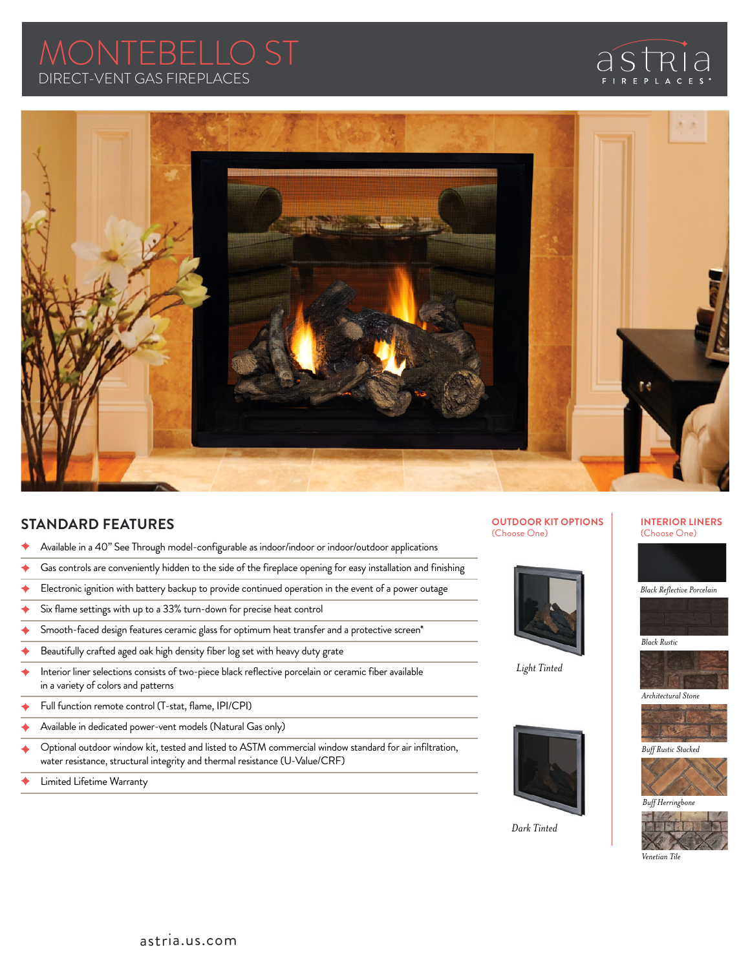# DIRECT-VENT GAS FIREPLACES MONTEBELLO ST





## **STANDARD FEATURES**

- Available in a 40" See Through model-configurable as indoor/indoor or indoor/outdoor applications
- Gas controls are conveniently hidden to the side of the fireplace opening for easy installation and finishing
- Electronic ignition with battery backup to provide continued operation in the event of a power outage
- Six flame settings with up to a 33% turn-down for precise heat control
- Smooth-faced design features ceramic glass for optimum heat transfer and a protective screen\*
- Beautifully crafted aged oak high density fiber log set with heavy duty grate
- Interior liner selections consists of two-piece black reflective porcelain or ceramic fiber available in a variety of colors and patterns
- Full function remote control (T-stat, flame, IPI/CPI)
- Available in dedicated power-vent models (Natural Gas only)
- Optional outdoor window kit, tested and listed to ASTM commercial window standard for air infiltration, water resistance, structural integrity and thermal resistance (U-Value/CRF)
- Limited Lifetime Warranty

**OUTDOOR KIT OPTIONS** (Choose One)







*Dark Tinted*

**INTERIOR LINERS** (Choose One)







*Architectural Stone*



*Buff Rustic Stacked*



*Buff Herringbone*



*Venetian Tile*